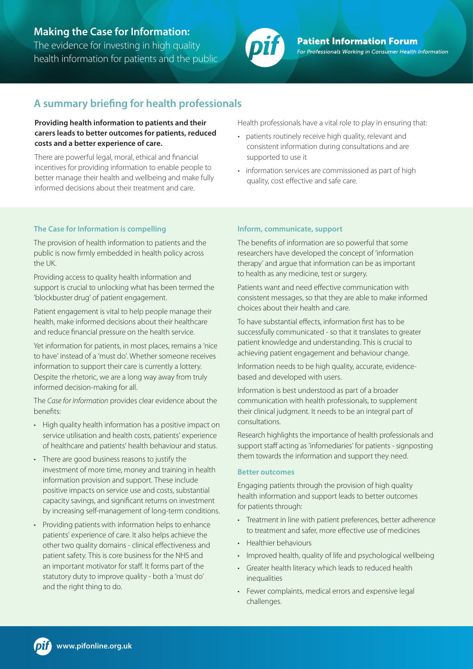# **Making the Case for Information:**

The evidence for investing in high quality health information for patients and the public



**Patient Information Forum** For Professionals Working in Consumer Health Information

# **A summary briefing for health professionals**

## **Providing health information to patients and their carers leads to better outcomes for patients, reduced costs and a better experience of care.**

There are powerful legal, moral, ethical and financial incentives for providing information to enable people to better manage their health and wellbeing and make fully informed decisions about their treatment and care.

## **The Case for Information is compelling**

The provision of health information to patients and the public is now firmly embedded in health policy across the UK.

Providing access to quality health information and support is crucial to unlocking what has been termed the 'blockbuster drug' of patient engagement.

Patient engagement is vital to help people manage their health, make informed decisions about their healthcare and reduce financial pressure on the health service.

Yet information for patients, in most places, remains a 'nice to have' instead of a 'must do'. Whether someone receives information to support their care is currently a lottery. Despite the rhetoric, we are a long way away from truly informed decision-making for all.

The *Case for Information* provides clear evidence about the benefits:

- High quality health information has a positive impact on service utilisation and health costs, patients' experience of healthcare and patients' health behaviour and status.
- There are good business reasons to justify the investment of more time, money and training in health information provision and support. These include positive impacts on service use and costs, substantial capacity savings, and significant returns on investment by increasing self-management of long-term conditions.
- Providing patients with information helps to enhance patients' experience of care. It also helps achieve the other two quality domains - clinical effectiveness and patient safety. This is core business for the NHS and an important motivator for staff. It forms part of the statutory duty to improve quality - both a 'must do' and the right thing to do.

Health professionals have a vital role to play in ensuring that:

- patients routinely receive high quality, relevant and consistent information during consultations and are supported to use it
- information services are commissioned as part of high quality, cost effective and safe care.

## **Inform, communicate, support**

The benefits of information are so powerful that some researchers have developed the concept of 'information therapy' and argue that information can be as important to health as any medicine, test or surgery.

Patients want and need effective communication with consistent messages, so that they are able to make informed choices about their health and care.

To have substantial effects, information first has to be successfully communicated - so that it translates to greater patient knowledge and understanding. This is crucial to achieving patient engagement and behaviour change.

Information needs to be high quality, accurate, evidencebased and developed with users.

Information is best understood as part of a broader communication with health professionals, to supplement their clinical judgment. It needs to be an integral part of consultations.

Research highlights the importance of health professionals and support staff acting as 'infomediaries' for patients - signposting them towards the information and support they need.

### **Better outcomes**

Engaging patients through the provision of high quality health information and support leads to better outcomes for patients through:

- Treatment in line with patient preferences, better adherence to treatment and safer, more effective use of medicines
- Healthier behaviours
- Improved health, quality of life and psychological wellbeing
- Greater health literacy which leads to reduced health inequalities
- Fewer complaints, medical errors and expensive legal challenges.